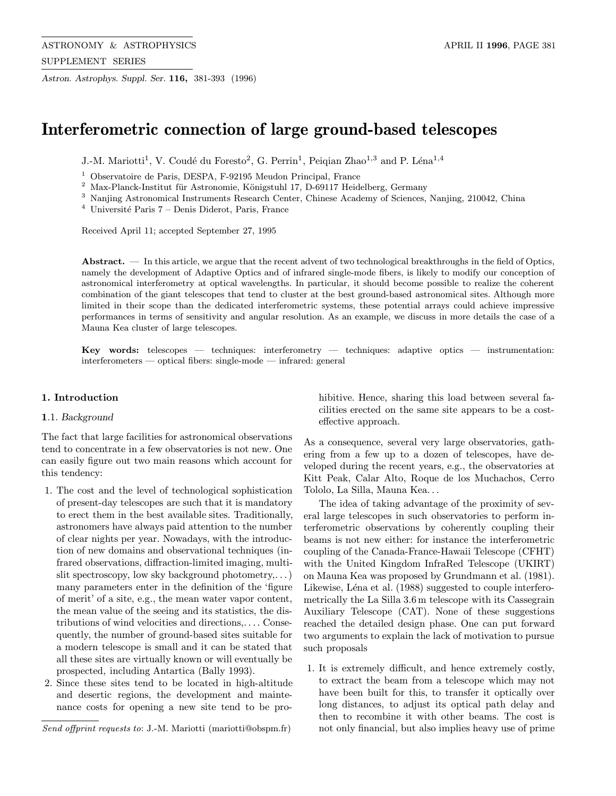Astron. Astrophys. Suppl. Ser. 116, 381-393 (1996)

# Interferometric connection of large ground-based telescopes

J.-M. Mariotti<sup>1</sup>, V. Coudé du Foresto<sup>2</sup>, G. Perrin<sup>1</sup>, Peiqian Zhao<sup>1,3</sup> and P. Léna<sup>1,4</sup>

 $1$  Observatoire de Paris, DESPA, F-92195 Meudon Principal, France

 $^2\,$  Max-Planck-Institut für Astronomie, Königstuhl 17, D-69117 Heidelberg, Germany

<sup>3</sup> Nanjing Astronomical Instruments Research Center, Chinese Academy of Sciences, Nanjing, 210042, China

 $4$  Université Paris  $7$  – Denis Diderot, Paris, France

Received April 11; accepted September 27, 1995

Abstract. — In this article, we argue that the recent advent of two technological breakthroughs in the field of Optics, namely the development of Adaptive Optics and of infrared single-mode fibers, is likely to modify our conception of astronomical interferometry at optical wavelengths. In particular, it should become possible to realize the coherent combination of the giant telescopes that tend to cluster at the best ground-based astronomical sites. Although more limited in their scope than the dedicated interferometric systems, these potential arrays could achieve impressive performances in terms of sensitivity and angular resolution. As an example, we discuss in more details the case of a Mauna Kea cluster of large telescopes.

Key words: telescopes — techniques: interferometry — techniques: adaptive optics — instrumentation: interferometers — optical fibers: single-mode — infrared: general

## 1. Introduction

#### 1.1. Background

The fact that large facilities for astronomical observations tend to concentrate in a few observatories is not new. One can easily figure out two main reasons which account for this tendency:

- 1. The cost and the level of technological sophistication of present-day telescopes are such that it is mandatory to erect them in the best available sites. Traditionally, astronomers have always paid attention to the number of clear nights per year. Nowadays, with the introduction of new domains and observational techniques (infrared observations, diffraction-limited imaging, multislit spectroscopy, low sky background photometry,...) many parameters enter in the definition of the 'figure of merit' of a site, e.g., the mean water vapor content, the mean value of the seeing and its statistics, the distributions of wind velocities and directions,... . Consequently, the number of ground-based sites suitable for a modern telescope is small and it can be stated that all these sites are virtually known or will eventually be prospected, including Antartica (Bally 1993).
- 2. Since these sites tend to be located in high-altitude and desertic regions, the development and maintenance costs for opening a new site tend to be pro-

hibitive. Hence, sharing this load between several facilities erected on the same site appears to be a costeffective approach.

As a consequence, several very large observatories, gathering from a few up to a dozen of telescopes, have developed during the recent years, e.g., the observatories at Kitt Peak, Calar Alto, Roque de los Muchachos, Cerro Tololo, La Silla, Mauna Kea...

The idea of taking advantage of the proximity of several large telescopes in such observatories to perform interferometric observations by coherently coupling their beams is not new either: for instance the interferometric coupling of the Canada-France-Hawaii Telescope (CFHT) with the United Kingdom InfraRed Telescope (UKIRT) on Mauna Kea was proposed by Grundmann et al. (1981). Likewise, Léna et al. (1988) suggested to couple interferometrically the La Silla 3.6 m telescope with its Cassegrain Auxiliary Telescope (CAT). None of these suggestions reached the detailed design phase. One can put forward two arguments to explain the lack of motivation to pursue such proposals

1. It is extremely difficult, and hence extremely costly, to extract the beam from a telescope which may not have been built for this, to transfer it optically over long distances, to adjust its optical path delay and then to recombine it with other beams. The cost is not only financial, but also implies heavy use of prime

Send offprint requests to: J.-M. Mariotti (mariotti@obspm.fr)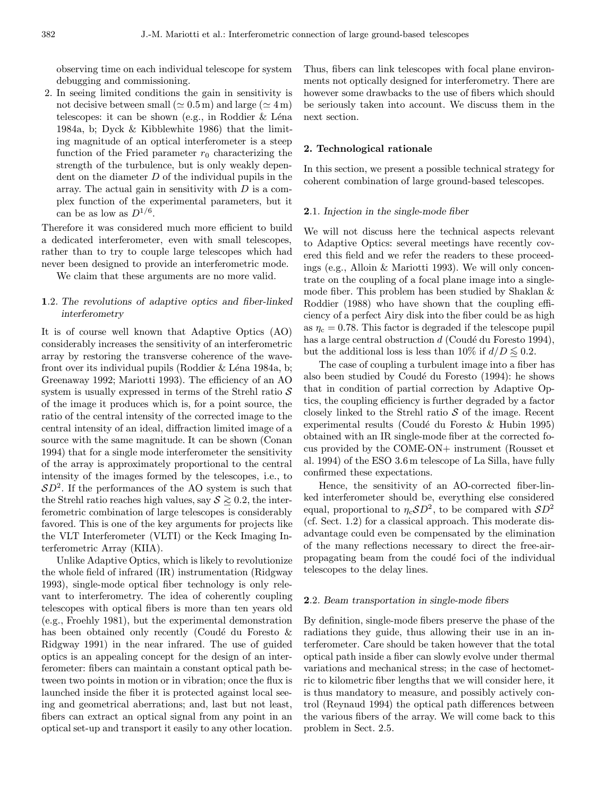observing time on each individual telescope for system debugging and commissioning.

2. In seeing limited conditions the gain in sensitivity is not decisive between small ( $\simeq 0.5 \,\mathrm{m}$ ) and large ( $\simeq 4 \,\mathrm{m}$ ) telescopes: it can be shown (e.g., in Roddier  $&$  Léna 1984a, b; Dyck & Kibblewhite 1986) that the limiting magnitude of an optical interferometer is a steep function of the Fried parameter  $r_0$  characterizing the strength of the turbulence, but is only weakly dependent on the diameter  $D$  of the individual pupils in the array. The actual gain in sensitivity with  $D$  is a complex function of the experimental parameters, but it can be as low as  $D^{1/6}$ .

Therefore it was considered much more efficient to build a dedicated interferometer, even with small telescopes, rather than to try to couple large telescopes which had never been designed to provide an interferometric mode.

We claim that these arguments are no more valid.

# 1.2. The revolutions of adaptive optics and fiber-linked interferometry

It is of course well known that Adaptive Optics (AO) considerably increases the sensitivity of an interferometric array by restoring the transverse coherence of the wavefront over its individual pupils (Roddier  $&$  Léna 1984a, b; Greenaway 1992; Mariotti 1993). The efficiency of an AO system is usually expressed in terms of the Strehl ratio  $S$ of the image it produces which is, for a point source, the ratio of the central intensity of the corrected image to the central intensity of an ideal, diffraction limited image of a source with the same magnitude. It can be shown (Conan 1994) that for a single mode interferometer the sensitivity of the array is approximately proportional to the central intensity of the images formed by the telescopes, i.e., to  $SD<sup>2</sup>$ . If the performances of the AO system is such that the Strehl ratio reaches high values, say  $S \geq 0.2$ , the interferometric combination of large telescopes is considerably favored. This is one of the key arguments for projects like the VLT Interferometer (VLTI) or the Keck Imaging Interferometric Array (KIIA).

Unlike Adaptive Optics, which is likely to revolutionize the whole field of infrared (IR) instrumentation (Ridgway 1993), single-mode optical fiber technology is only relevant to interferometry. The idea of coherently coupling telescopes with optical fibers is more than ten years old (e.g., Froehly 1981), but the experimental demonstration has been obtained only recently (Coudé du Foresto  $\&$ Ridgway 1991) in the near infrared. The use of guided optics is an appealing concept for the design of an interferometer: fibers can maintain a constant optical path between two points in motion or in vibration; once the flux is launched inside the fiber it is protected against local seeing and geometrical aberrations; and, last but not least, fibers can extract an optical signal from any point in an optical set-up and transport it easily to any other location.

Thus, fibers can link telescopes with focal plane environments not optically designed for interferometry. There are however some drawbacks to the use of fibers which should be seriously taken into account. We discuss them in the next section.

## 2. Technological rationale

In this section, we present a possible technical strategy for coherent combination of large ground-based telescopes.

#### 2.1. Injection in the single-mode fiber

We will not discuss here the technical aspects relevant to Adaptive Optics: several meetings have recently covered this field and we refer the readers to these proceedings (e.g., Alloin & Mariotti 1993). We will only concentrate on the coupling of a focal plane image into a singlemode fiber. This problem has been studied by Shaklan & Roddier (1988) who have shown that the coupling efficiency of a perfect Airy disk into the fiber could be as high as  $\eta_c = 0.78$ . This factor is degraded if the telescope pupil has a large central obstruction  $d$  (Coudé du Foresto 1994), but the additional loss is less than 10% if  $d/D \leq 0.2$ .

The case of coupling a turbulent image into a fiber has also been studied by Coudé du Foresto (1994): he shows that in condition of partial correction by Adaptive Optics, the coupling efficiency is further degraded by a factor closely linked to the Strehl ratio  $S$  of the image. Recent experimental results (Coudé du Foresto & Hubin 1995) obtained with an IR single-mode fiber at the corrected focus provided by the COME-ON+ instrument (Rousset et al. 1994) of the ESO 3.6 m telescope of La Silla, have fully confirmed these expectations.

Hence, the sensitivity of an AO-corrected fiber-linked interferometer should be, everything else considered equal, proportional to  $\eta_c SD^2$ , to be compared with  $SD^2$ (cf. Sect. 1.2) for a classical approach. This moderate disadvantage could even be compensated by the elimination of the many reflections necessary to direct the free-airpropagating beam from the coudé foci of the individual telescopes to the delay lines.

### 2.2. Beam transportation in single-mode fibers

By definition, single-mode fibers preserve the phase of the radiations they guide, thus allowing their use in an interferometer. Care should be taken however that the total optical path inside a fiber can slowly evolve under thermal variations and mechanical stress; in the case of hectometric to kilometric fiber lengths that we will consider here, it is thus mandatory to measure, and possibly actively control (Reynaud 1994) the optical path differences between the various fibers of the array. We will come back to this problem in Sect. 2.5.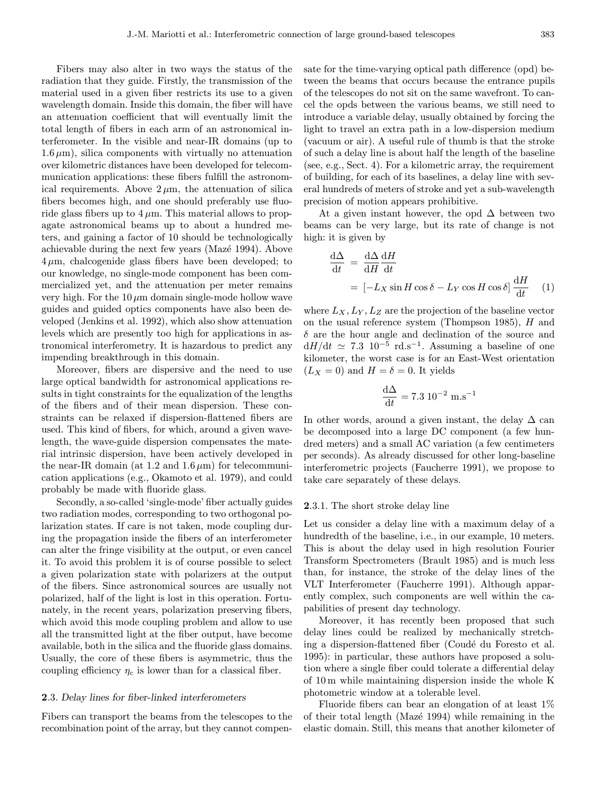Fibers may also alter in two ways the status of the radiation that they guide. Firstly, the transmission of the material used in a given fiber restricts its use to a given wavelength domain. Inside this domain, the fiber will have an attenuation coefficient that will eventually limit the total length of fibers in each arm of an astronomical interferometer. In the visible and near-IR domains (up to  $1.6\,\mu\text{m}$ , silica components with virtually no attenuation over kilometric distances have been developed for telecommunication applications: these fibers fulfill the astronomical requirements. Above  $2 \mu m$ , the attenuation of silica fibers becomes high, and one should preferably use fluoride glass fibers up to  $4 \mu$ m. This material allows to propagate astronomical beams up to about a hundred meters, and gaining a factor of 10 should be technologically achievable during the next few years (Mazé 1994). Above  $4 \mu m$ , chalcogenide glass fibers have been developed; to our knowledge, no single-mode component has been commercialized yet, and the attenuation per meter remains very high. For the  $10 \mu m$  domain single-mode hollow wave guides and guided optics components have also been developed (Jenkins et al. 1992), which also show attenuation levels which are presently too high for applications in astronomical interferometry. It is hazardous to predict any impending breakthrough in this domain.

Moreover, fibers are dispersive and the need to use large optical bandwidth for astronomical applications results in tight constraints for the equalization of the lengths of the fibers and of their mean dispersion. These constraints can be relaxed if dispersion-flattened fibers are used. This kind of fibers, for which, around a given wavelength, the wave-guide dispersion compensates the material intrinsic dispersion, have been actively developed in the near-IR domain (at 1.2 and  $1.6 \,\mu\text{m}$ ) for telecommunication applications (e.g., Okamoto et al. 1979), and could probably be made with fluoride glass.

Secondly, a so-called 'single-mode' fiber actually guides two radiation modes, corresponding to two orthogonal polarization states. If care is not taken, mode coupling during the propagation inside the fibers of an interferometer can alter the fringe visibility at the output, or even cancel it. To avoid this problem it is of course possible to select a given polarization state with polarizers at the output of the fibers. Since astronomical sources are usually not polarized, half of the light is lost in this operation. Fortunately, in the recent years, polarization preserving fibers, which avoid this mode coupling problem and allow to use all the transmitted light at the fiber output, have become available, both in the silica and the fluoride glass domains. Usually, the core of these fibers is asymmetric, thus the coupling efficiency  $\eta_c$  is lower than for a classical fiber.

## 2.3. Delay lines for fiber-linked interferometers

Fibers can transport the beams from the telescopes to the recombination point of the array, but they cannot compensate for the time-varying optical path difference (opd) between the beams that occurs because the entrance pupils of the telescopes do not sit on the same wavefront. To cancel the opds between the various beams, we still need to introduce a variable delay, usually obtained by forcing the light to travel an extra path in a low-dispersion medium (vacuum or air). A useful rule of thumb is that the stroke of such a delay line is about half the length of the baseline (see, e.g., Sect. 4). For a kilometric array, the requirement of building, for each of its baselines, a delay line with several hundreds of meters of stroke and yet a sub-wavelength precision of motion appears prohibitive.

At a given instant however, the opd  $\Delta$  between two beams can be very large, but its rate of change is not high: it is given by

$$
\frac{d\Delta}{dt} = \frac{d\Delta}{dH}\frac{dH}{dt}
$$

$$
= [-L_X \sin H \cos \delta - L_Y \cos H \cos \delta] \frac{dH}{dt} \quad (1)
$$

where  $L_X, L_Y, L_Z$  are the projection of the baseline vector on the usual reference system (Thompson 1985), H and  $\delta$  are the hour angle and declination of the source and  $dH/dt \simeq 7.3 \; 10^{-5} \; \text{rd.s}^{-1}$ . Assuming a baseline of one kilometer, the worst case is for an East-West orientation  $(L_X = 0)$  and  $H = \delta = 0$ . It yields

$$
\frac{d\Delta}{dt} = 7.3 \, 10^{-2} \, \text{m.s}^{-1}
$$

In other words, around a given instant, the delay  $\Delta$  can be decomposed into a large DC component (a few hundred meters) and a small AC variation (a few centimeters per seconds). As already discussed for other long-baseline interferometric projects (Faucherre 1991), we propose to take care separately of these delays.

#### 2.3.1. The short stroke delay line

Let us consider a delay line with a maximum delay of a hundredth of the baseline, i.e., in our example, 10 meters. This is about the delay used in high resolution Fourier Transform Spectrometers (Brault 1985) and is much less than, for instance, the stroke of the delay lines of the VLT Interferometer (Faucherre 1991). Although apparently complex, such components are well within the capabilities of present day technology.

Moreover, it has recently been proposed that such delay lines could be realized by mechanically stretching a dispersion-flattened fiber (Coudé du Foresto et al. 1995): in particular, these authors have proposed a solution where a single fiber could tolerate a differential delay of 10 m while maintaining dispersion inside the whole K photometric window at a tolerable level.

Fluoride fibers can bear an elongation of at least 1% of their total length (Mazé 1994) while remaining in the elastic domain. Still, this means that another kilometer of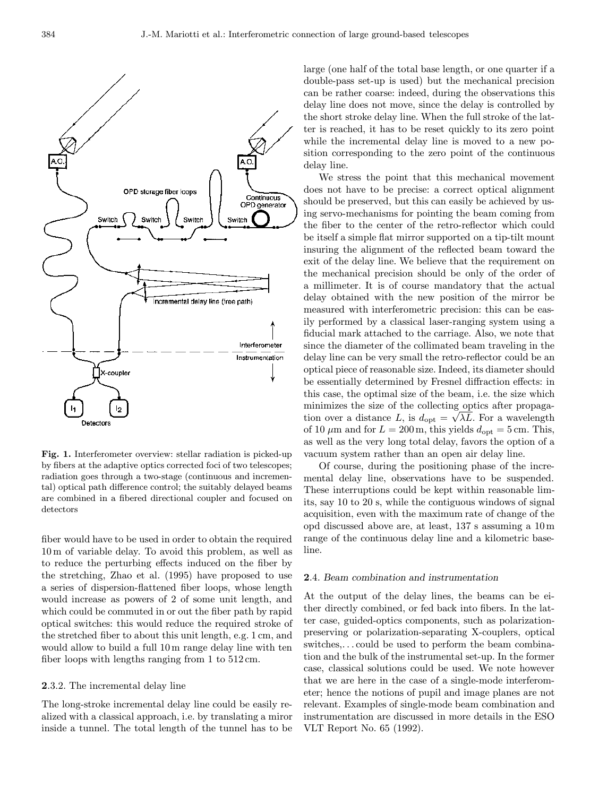

Fig. 1. Interferometer overview: stellar radiation is picked-up by fibers at the adaptive optics corrected foci of two telescopes; radiation goes through a two-stage (continuous and incremental) optical path difference control; the suitably delayed beams are combined in a fibered directional coupler and focused on detectors

fiber would have to be used in order to obtain the required 10 m of variable delay. To avoid this problem, as well as to reduce the perturbing effects induced on the fiber by the stretching, Zhao et al. (1995) have proposed to use a series of dispersion-flattened fiber loops, whose length would increase as powers of 2 of some unit length, and which could be commuted in or out the fiber path by rapid optical switches: this would reduce the required stroke of the stretched fiber to about this unit length, e.g. 1 cm, and would allow to build a full 10 m range delay line with ten fiber loops with lengths ranging from 1 to 512 cm.

# 2.3.2. The incremental delay line

The long-stroke incremental delay line could be easily realized with a classical approach, i.e. by translating a miror inside a tunnel. The total length of the tunnel has to be large (one half of the total base length, or one quarter if a double-pass set-up is used) but the mechanical precision can be rather coarse: indeed, during the observations this delay line does not move, since the delay is controlled by the short stroke delay line. When the full stroke of the latter is reached, it has to be reset quickly to its zero point while the incremental delay line is moved to a new position corresponding to the zero point of the continuous delay line.

We stress the point that this mechanical movement does not have to be precise: a correct optical alignment should be preserved, but this can easily be achieved by using servo-mechanisms for pointing the beam coming from the fiber to the center of the retro-reflector which could be itself a simple flat mirror supported on a tip-tilt mount insuring the alignment of the reflected beam toward the exit of the delay line. We believe that the requirement on the mechanical precision should be only of the order of a millimeter. It is of course mandatory that the actual delay obtained with the new position of the mirror be measured with interferometric precision: this can be easily performed by a classical laser-ranging system using a fiducial mark attached to the carriage. Also, we note that since the diameter of the collimated beam traveling in the delay line can be very small the retro-reflector could be an optical piece of reasonable size. Indeed, its diameter should be essentially determined by Fresnel diffraction effects: in this case, the optimal size of the beam, i.e. the size which minimizes the size of the collecting optics after propagation over a distance L, is  $d_{opt} = \sqrt{\lambda L}$ . For a wavelength of 10  $\mu$ m and for  $L = 200$  m, this yields  $d_{opt} = 5$  cm. This, as well as the very long total delay, favors the option of a vacuum system rather than an open air delay line.

Of course, during the positioning phase of the incremental delay line, observations have to be suspended. These interruptions could be kept within reasonable limits, say 10 to 20 s, while the contiguous windows of signal acquisition, even with the maximum rate of change of the opd discussed above are, at least, 137 s assuming a 10 m range of the continuous delay line and a kilometric baseline.

#### 2.4. Beam combination and instrumentation

At the output of the delay lines, the beams can be either directly combined, or fed back into fibers. In the latter case, guided-optics components, such as polarizationpreserving or polarization-separating X-couplers, optical switches,... could be used to perform the beam combination and the bulk of the instrumental set-up. In the former case, classical solutions could be used. We note however that we are here in the case of a single-mode interferometer; hence the notions of pupil and image planes are not relevant. Examples of single-mode beam combination and instrumentation are discussed in more details in the ESO VLT Report No. 65 (1992).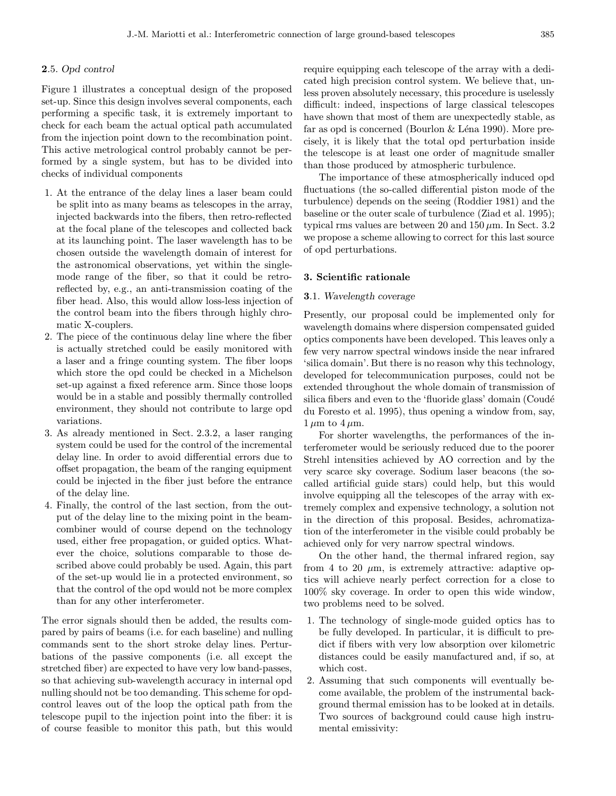## 2.5. Opd control

Figure 1 illustrates a conceptual design of the proposed set-up. Since this design involves several components, each performing a specific task, it is extremely important to check for each beam the actual optical path accumulated from the injection point down to the recombination point. This active metrological control probably cannot be performed by a single system, but has to be divided into checks of individual components

- 1. At the entrance of the delay lines a laser beam could be split into as many beams as telescopes in the array, injected backwards into the fibers, then retro-reflected at the focal plane of the telescopes and collected back at its launching point. The laser wavelength has to be chosen outside the wavelength domain of interest for the astronomical observations, yet within the singlemode range of the fiber, so that it could be retroreflected by, e.g., an anti-transmission coating of the fiber head. Also, this would allow loss-less injection of the control beam into the fibers through highly chromatic X-couplers.
- 2. The piece of the continuous delay line where the fiber is actually stretched could be easily monitored with a laser and a fringe counting system. The fiber loops which store the opd could be checked in a Michelson set-up against a fixed reference arm. Since those loops would be in a stable and possibly thermally controlled environment, they should not contribute to large opd variations.
- 3. As already mentioned in Sect. 2.3.2, a laser ranging system could be used for the control of the incremental delay line. In order to avoid differential errors due to offset propagation, the beam of the ranging equipment could be injected in the fiber just before the entrance of the delay line.
- 4. Finally, the control of the last section, from the output of the delay line to the mixing point in the beamcombiner would of course depend on the technology used, either free propagation, or guided optics. Whatever the choice, solutions comparable to those described above could probably be used. Again, this part of the set-up would lie in a protected environment, so that the control of the opd would not be more complex than for any other interferometer.

The error signals should then be added, the results compared by pairs of beams (i.e. for each baseline) and nulling commands sent to the short stroke delay lines. Perturbations of the passive components (i.e. all except the stretched fiber) are expected to have very low band-passes, so that achieving sub-wavelength accuracy in internal opd nulling should not be too demanding. This scheme for opdcontrol leaves out of the loop the optical path from the telescope pupil to the injection point into the fiber: it is of course feasible to monitor this path, but this would require equipping each telescope of the array with a dedicated high precision control system. We believe that, unless proven absolutely necessary, this procedure is uselessly difficult: indeed, inspections of large classical telescopes have shown that most of them are unexpectedly stable, as far as opd is concerned (Bourlon & Léna 1990). More precisely, it is likely that the total opd perturbation inside the telescope is at least one order of magnitude smaller than those produced by atmospheric turbulence.

The importance of these atmospherically induced opd fluctuations (the so-called differential piston mode of the turbulence) depends on the seeing (Roddier 1981) and the baseline or the outer scale of turbulence (Ziad et al. 1995); typical rms values are between 20 and  $150 \,\mu \mathrm{m}$ . In Sect. 3.2 we propose a scheme allowing to correct for this last source of opd perturbations.

## 3. Scientific rationale

# 3.1. Wavelength coverage

Presently, our proposal could be implemented only for wavelength domains where dispersion compensated guided optics components have been developed. This leaves only a few very narrow spectral windows inside the near infrared 'silica domain'. But there is no reason why this technology, developed for telecommunication purposes, could not be extended throughout the whole domain of transmission of silica fibers and even to the 'fluoride glass' domain (Coudé du Foresto et al. 1995), thus opening a window from, say,  $1 \mu m$  to  $4 \mu m$ .

For shorter wavelengths, the performances of the interferometer would be seriously reduced due to the poorer Strehl intensities achieved by AO correction and by the very scarce sky coverage. Sodium laser beacons (the socalled artificial guide stars) could help, but this would involve equipping all the telescopes of the array with extremely complex and expensive technology, a solution not in the direction of this proposal. Besides, achromatization of the interferometer in the visible could probably be achieved only for very narrow spectral windows.

On the other hand, the thermal infrared region, say from 4 to 20  $\mu$ m, is extremely attractive: adaptive optics will achieve nearly perfect correction for a close to 100% sky coverage. In order to open this wide window, two problems need to be solved.

- 1. The technology of single-mode guided optics has to be fully developed. In particular, it is difficult to predict if fibers with very low absorption over kilometric distances could be easily manufactured and, if so, at which cost.
- 2. Assuming that such components will eventually become available, the problem of the instrumental background thermal emission has to be looked at in details. Two sources of background could cause high instrumental emissivity: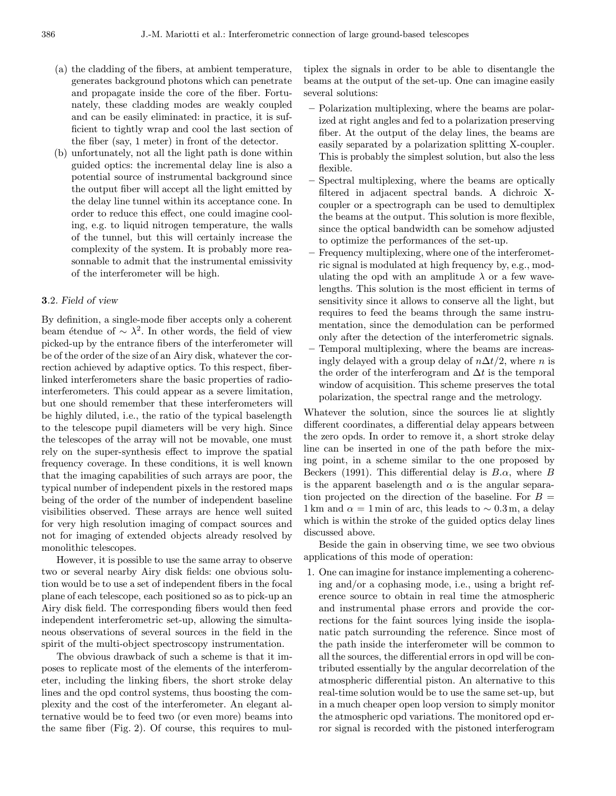- (a) the cladding of the fibers, at ambient temperature, generates background photons which can penetrate and propagate inside the core of the fiber. Fortunately, these cladding modes are weakly coupled and can be easily eliminated: in practice, it is sufficient to tightly wrap and cool the last section of the fiber (say, 1 meter) in front of the detector.
- (b) unfortunately, not all the light path is done within guided optics: the incremental delay line is also a potential source of instrumental background since the output fiber will accept all the light emitted by the delay line tunnel within its acceptance cone. In order to reduce this effect, one could imagine cooling, e.g. to liquid nitrogen temperature, the walls of the tunnel, but this will certainly increase the complexity of the system. It is probably more reasonnable to admit that the instrumental emissivity of the interferometer will be high.

## 3.2. Field of view

By definition, a single-mode fiber accepts only a coherent beam étendue of  $\sim \lambda^2$ . In other words, the field of view picked-up by the entrance fibers of the interferometer will be of the order of the size of an Airy disk, whatever the correction achieved by adaptive optics. To this respect, fiberlinked interferometers share the basic properties of radiointerferometers. This could appear as a severe limitation, but one should remember that these interferometers will be highly diluted, i.e., the ratio of the typical baselength to the telescope pupil diameters will be very high. Since the telescopes of the array will not be movable, one must rely on the super-synthesis effect to improve the spatial frequency coverage. In these conditions, it is well known that the imaging capabilities of such arrays are poor, the typical number of independent pixels in the restored maps being of the order of the number of independent baseline visibilities observed. These arrays are hence well suited for very high resolution imaging of compact sources and not for imaging of extended objects already resolved by monolithic telescopes.

However, it is possible to use the same array to observe two or several nearby Airy disk fields: one obvious solution would be to use a set of independent fibers in the focal plane of each telescope, each positioned so as to pick-up an Airy disk field. The corresponding fibers would then feed independent interferometric set-up, allowing the simultaneous observations of several sources in the field in the spirit of the multi-object spectroscopy instrumentation.

The obvious drawback of such a scheme is that it imposes to replicate most of the elements of the interferometer, including the linking fibers, the short stroke delay lines and the opd control systems, thus boosting the complexity and the cost of the interferometer. An elegant alternative would be to feed two (or even more) beams into the same fiber (Fig. 2). Of course, this requires to multiplex the signals in order to be able to disentangle the beams at the output of the set-up. One can imagine easily several solutions:

- Polarization multiplexing, where the beams are polarized at right angles and fed to a polarization preserving fiber. At the output of the delay lines, the beams are easily separated by a polarization splitting X-coupler. This is probably the simplest solution, but also the less flexible.
- Spectral multiplexing, where the beams are optically filtered in adjacent spectral bands. A dichroic Xcoupler or a spectrograph can be used to demultiplex the beams at the output. This solution is more flexible, since the optical bandwidth can be somehow adjusted to optimize the performances of the set-up.
- Frequency multiplexing, where one of the interferometric signal is modulated at high frequency by, e.g., modulating the opd with an amplitude  $\lambda$  or a few wavelengths. This solution is the most efficient in terms of sensitivity since it allows to conserve all the light, but requires to feed the beams through the same instrumentation, since the demodulation can be performed only after the detection of the interferometric signals. – Temporal multiplexing, where the beams are increasingly delayed with a group delay of  $n\Delta t/2$ , where n is the order of the interferogram and  $\Delta t$  is the temporal window of acquisition. This scheme preserves the total polarization, the spectral range and the metrology.

Whatever the solution, since the sources lie at slightly different coordinates, a differential delay appears between the zero opds. In order to remove it, a short stroke delay line can be inserted in one of the path before the mixing point, in a scheme similar to the one proposed by Beckers (1991). This differential delay is  $B.\alpha$ , where B is the apparent baselength and  $\alpha$  is the angular separation projected on the direction of the baseline. For  $B =$ 1 km and  $\alpha = 1$  min of arc, this leads to ~ 0.3 m, a delay which is within the stroke of the guided optics delay lines discussed above.

Beside the gain in observing time, we see two obvious applications of this mode of operation:

1. One can imagine for instance implementing a coherencing and/or a cophasing mode, i.e., using a bright reference source to obtain in real time the atmospheric and instrumental phase errors and provide the corrections for the faint sources lying inside the isoplanatic patch surrounding the reference. Since most of the path inside the interferometer will be common to all the sources, the differential errors in opd will be contributed essentially by the angular decorrelation of the atmospheric differential piston. An alternative to this real-time solution would be to use the same set-up, but in a much cheaper open loop version to simply monitor the atmospheric opd variations. The monitored opd error signal is recorded with the pistoned interferogram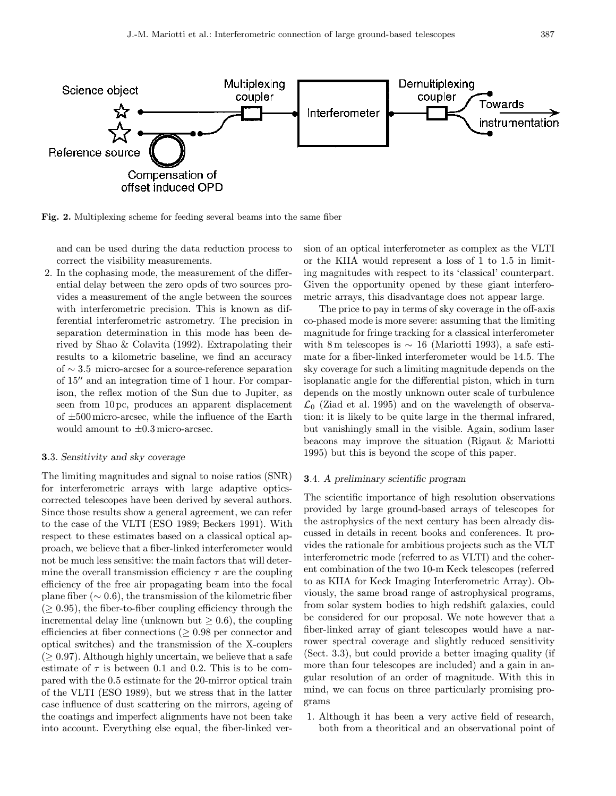

Fig. 2. Multiplexing scheme for feeding several beams into the same fiber

and can be used during the data reduction process to correct the visibility measurements.

2. In the cophasing mode, the measurement of the differential delay between the zero opds of two sources provides a measurement of the angle between the sources with interferometric precision. This is known as differential interferometric astrometry. The precision in separation determination in this mode has been derived by Shao & Colavita (1992). Extrapolating their results to a kilometric baseline, we find an accuracy of ∼ 3.5 micro-arcsec for a source-reference separation of  $15$ <sup> $\prime\prime$ </sup> and an integration time of 1 hour. For comparison, the reflex motion of the Sun due to Jupiter, as seen from 10 pc, produces an apparent displacement of  $\pm 500$  micro-arcsec, while the influence of the Earth would amount to  $\pm 0.3$  micro-arcsec.

## 3.3. Sensitivity and sky coverage

The limiting magnitudes and signal to noise ratios (SNR) for interferometric arrays with large adaptive opticscorrected telescopes have been derived by several authors. Since those results show a general agreement, we can refer to the case of the VLTI (ESO 1989; Beckers 1991). With respect to these estimates based on a classical optical approach, we believe that a fiber-linked interferometer would not be much less sensitive: the main factors that will determine the overall transmission efficiency  $\tau$  are the coupling efficiency of the free air propagating beam into the focal plane fiber ( $\sim 0.6$ ), the transmission of the kilometric fiber  $(≥ 0.95)$ , the fiber-to-fiber coupling efficiency through the incremental delay line (unknown but  $\geq 0.6$ ), the coupling efficiencies at fiber connections ( $\geq 0.98$  per connector and optical switches) and the transmission of the X-couplers  $(≥ 0.97)$ . Although highly uncertain, we believe that a safe estimate of  $\tau$  is between 0.1 and 0.2. This is to be compared with the 0.5 estimate for the 20-mirror optical train of the VLTI (ESO 1989), but we stress that in the latter case influence of dust scattering on the mirrors, ageing of the coatings and imperfect alignments have not been take into account. Everything else equal, the fiber-linked version of an optical interferometer as complex as the VLTI or the KIIA would represent a loss of 1 to 1.5 in limiting magnitudes with respect to its 'classical' counterpart. Given the opportunity opened by these giant interferometric arrays, this disadvantage does not appear large.

The price to pay in terms of sky coverage in the off-axis co-phased mode is more severe: assuming that the limiting magnitude for fringe tracking for a classical interferometer with 8 m telescopes is  $\sim 16$  (Mariotti 1993), a safe estimate for a fiber-linked interferometer would be 14.5. The sky coverage for such a limiting magnitude depends on the isoplanatic angle for the differential piston, which in turn depends on the mostly unknown outer scale of turbulence  $\mathcal{L}_0$  (Ziad et al. 1995) and on the wavelength of observation: it is likely to be quite large in the thermal infrared, but vanishingly small in the visible. Again, sodium laser beacons may improve the situation (Rigaut & Mariotti 1995) but this is beyond the scope of this paper.

## 3.4. A preliminary scientific program

The scientific importance of high resolution observations provided by large ground-based arrays of telescopes for the astrophysics of the next century has been already discussed in details in recent books and conferences. It provides the rationale for ambitious projects such as the VLT interferometric mode (referred to as VLTI) and the coherent combination of the two 10-m Keck telescopes (referred to as KIIA for Keck Imaging Interferometric Array). Obviously, the same broad range of astrophysical programs, from solar system bodies to high redshift galaxies, could be considered for our proposal. We note however that a fiber-linked array of giant telescopes would have a narrower spectral coverage and slightly reduced sensitivity (Sect. 3.3), but could provide a better imaging quality (if more than four telescopes are included) and a gain in angular resolution of an order of magnitude. With this in mind, we can focus on three particularly promising programs

1. Although it has been a very active field of research, both from a theoritical and an observational point of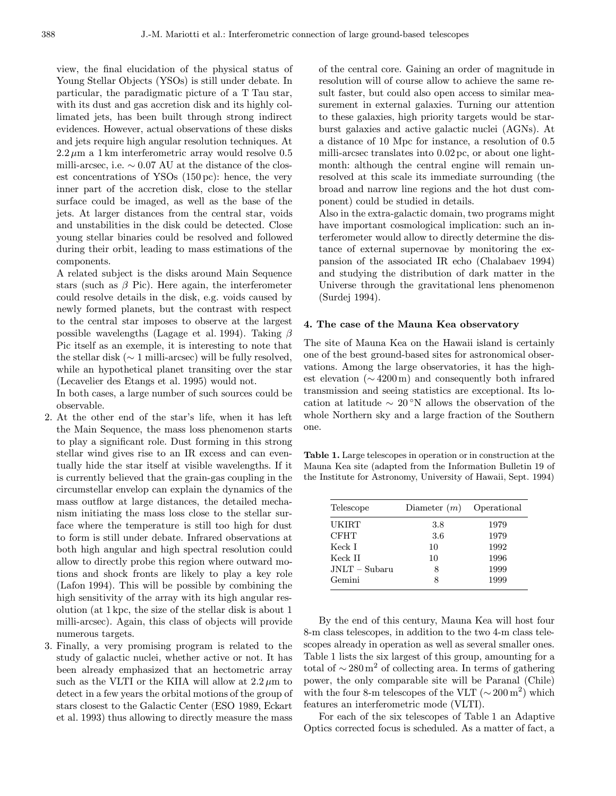view, the final elucidation of the physical status of Young Stellar Objects (YSOs) is still under debate. In particular, the paradigmatic picture of a T Tau star, with its dust and gas accretion disk and its highly collimated jets, has been built through strong indirect evidences. However, actual observations of these disks and jets require high angular resolution techniques. At  $2.2 \mu m$  a 1 km interferometric array would resolve 0.5 milli-arcsec, i.e.  $\sim 0.07$  AU at the distance of the closest concentrations of YSOs (150 pc): hence, the very inner part of the accretion disk, close to the stellar surface could be imaged, as well as the base of the jets. At larger distances from the central star, voids and unstabilities in the disk could be detected. Close young stellar binaries could be resolved and followed during their orbit, leading to mass estimations of the components.

A related subject is the disks around Main Sequence stars (such as  $\beta$  Pic). Here again, the interferometer could resolve details in the disk, e.g. voids caused by newly formed planets, but the contrast with respect to the central star imposes to observe at the largest possible wavelengths (Lagage et al. 1994). Taking  $\beta$ Pic itself as an exemple, it is interesting to note that the stellar disk ( $\sim$  1 milli-arcsec) will be fully resolved, while an hypothetical planet transiting over the star (Lecavelier des Etangs et al. 1995) would not.

In both cases, a large number of such sources could be observable.

- 2. At the other end of the star's life, when it has left the Main Sequence, the mass loss phenomenon starts to play a significant role. Dust forming in this strong stellar wind gives rise to an IR excess and can eventually hide the star itself at visible wavelengths. If it is currently believed that the grain-gas coupling in the circumstellar envelop can explain the dynamics of the mass outflow at large distances, the detailed mechanism initiating the mass loss close to the stellar surface where the temperature is still too high for dust to form is still under debate. Infrared observations at both high angular and high spectral resolution could allow to directly probe this region where outward motions and shock fronts are likely to play a key role (Lafon 1994). This will be possible by combining the high sensitivity of the array with its high angular resolution (at 1 kpc, the size of the stellar disk is about 1 milli-arcsec). Again, this class of objects will provide numerous targets.
- 3. Finally, a very promising program is related to the study of galactic nuclei, whether active or not. It has been already emphasized that an hectometric array such as the VLTI or the KIIA will allow at  $2.2 \mu m$  to detect in a few years the orbital motions of the group of stars closest to the Galactic Center (ESO 1989, Eckart et al. 1993) thus allowing to directly measure the mass

of the central core. Gaining an order of magnitude in resolution will of course allow to achieve the same result faster, but could also open access to similar measurement in external galaxies. Turning our attention to these galaxies, high priority targets would be starburst galaxies and active galactic nuclei (AGNs). At a distance of 10 Mpc for instance, a resolution of 0.5 milli-arcsec translates into 0.02 pc, or about one lightmonth: although the central engine will remain unresolved at this scale its immediate surrounding (the broad and narrow line regions and the hot dust component) could be studied in details.

Also in the extra-galactic domain, two programs might have important cosmological implication: such an interferometer would allow to directly determine the distance of external supernovae by monitoring the expansion of the associated IR echo (Chalabaev 1994) and studying the distribution of dark matter in the Universe through the gravitational lens phenomenon (Surdej 1994).

#### 4. The case of the Mauna Kea observatory

The site of Mauna Kea on the Hawaii island is certainly one of the best ground-based sites for astronomical observations. Among the large observatories, it has the highest elevation ( $\sim$  4200 m) and consequently both infrared transmission and seeing statistics are exceptional. Its location at latitude  $\sim 20^{\circ}$ N allows the observation of the whole Northern sky and a large fraction of the Southern one.

Table 1. Large telescopes in operation or in construction at the Mauna Kea site (adapted from the Information Bulletin 19 of the Institute for Astronomy, University of Hawaii, Sept. 1994)

| Telescope       | Diameter $(m)$ | Operational |
|-----------------|----------------|-------------|
| UKIRT           | 3.8            | 1979        |
| <b>CFHT</b>     | 3.6            | 1979        |
| Keck I          | 10             | 1992        |
| Keck II         | 10             | 1996        |
| $JNLT - Subaru$ | 8              | 1999        |
| Gemini          | 8              | 1999        |

By the end of this century, Mauna Kea will host four 8-m class telescopes, in addition to the two 4-m class telescopes already in operation as well as several smaller ones. Table 1 lists the six largest of this group, amounting for a total of  $\sim 280 \,\mathrm{m}^2$  of collecting area. In terms of gathering power, the only comparable site will be Paranal (Chile) with the four 8-m telescopes of the VLT ( $\sim 200 \,\mathrm{m}^2$ ) which features an interferometric mode (VLTI).

For each of the six telescopes of Table 1 an Adaptive Optics corrected focus is scheduled. As a matter of fact, a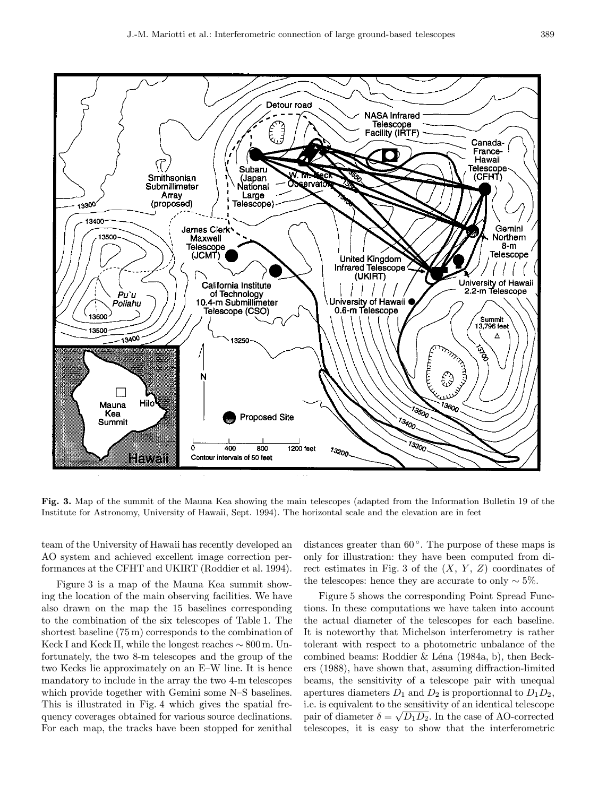

Fig. 3. Map of the summit of the Mauna Kea showing the main telescopes (adapted from the Information Bulletin 19 of the Institute for Astronomy, University of Hawaii, Sept. 1994). The horizontal scale and the elevation are in feet

team of the University of Hawaii has recently developed an AO system and achieved excellent image correction performances at the CFHT and UKIRT (Roddier et al. 1994).

Figure 3 is a map of the Mauna Kea summit showing the location of the main observing facilities. We have also drawn on the map the 15 baselines corresponding to the combination of the six telescopes of Table 1. The shortest baseline (75 m) corresponds to the combination of Keck I and Keck II, while the longest reaches ∼ 800 m. Unfortunately, the two 8-m telescopes and the group of the two Kecks lie approximately on an E–W line. It is hence mandatory to include in the array the two 4-m telescopes which provide together with Gemini some N–S baselines. This is illustrated in Fig. 4 which gives the spatial frequency coverages obtained for various source declinations. For each map, the tracks have been stopped for zenithal

distances greater than  $60^\circ$ . The purpose of these maps is only for illustration: they have been computed from direct estimates in Fig. 3 of the  $(X, Y, Z)$  coordinates of the telescopes: hence they are accurate to only  $\sim$  5%.

Figure 5 shows the corresponding Point Spread Functions. In these computations we have taken into account the actual diameter of the telescopes for each baseline. It is noteworthy that Michelson interferometry is rather tolerant with respect to a photometric unbalance of the combined beams: Roddier & Léna (1984a, b), then Beckers (1988), have shown that, assuming diffraction-limited beams, the sensitivity of a telescope pair with unequal apertures diameters  $D_1$  and  $D_2$  is proportionnal to  $D_1D_2$ , i.e. is equivalent to the sensitivity of an identical telescope pair of diameter  $\delta = \sqrt{D_1 D_2}$ . In the case of AO-corrected telescopes, it is easy to show that the interferometric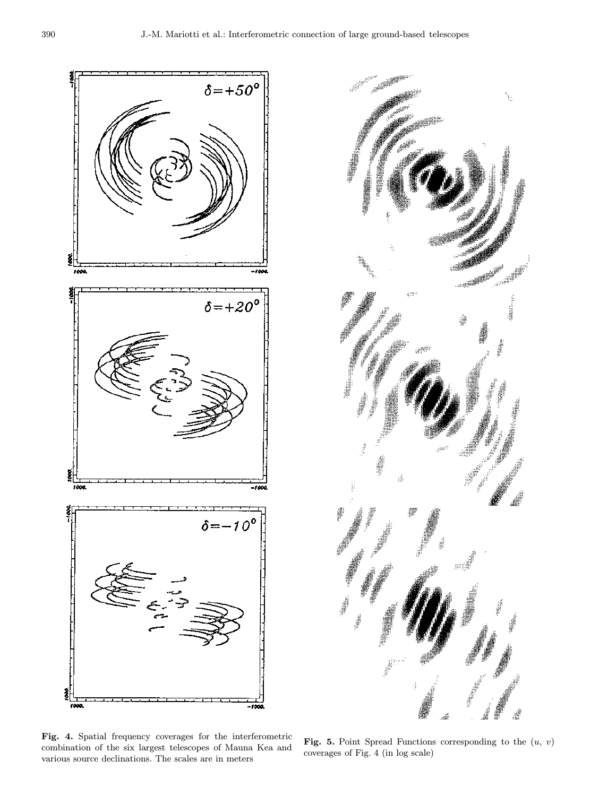



Fig. 4. Spatial frequency coverages for the interferometric combination of the six largest telescopes of Mauna Kea and various source declinations. The scales are in meters

Fig. 5. Point Spread Functions corresponding to the  $(u, v)$ coverages of Fig. 4 (in log scale)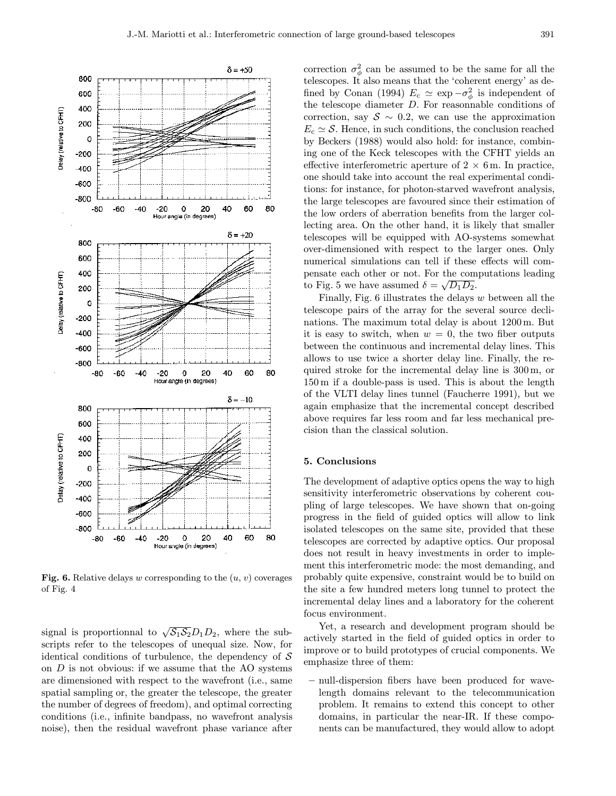

**Fig. 6.** Relative delays w corresponding to the  $(u, v)$  coverages of Fig. 4

signal is proportionnal to  $\sqrt{S_1S_2}D_1D_2$ , where the subscripts refer to the telescopes of unequal size. Now, for identical conditions of turbulence, the dependency of  $S$ on  $D$  is not obvious: if we assume that the  $AO$  systems are dimensioned with respect to the wavefront (i.e., same spatial sampling or, the greater the telescope, the greater the number of degrees of freedom), and optimal correcting conditions (i.e., infinite bandpass, no wavefront analysis noise), then the residual wavefront phase variance after

correction  $\sigma_{\phi}^2$  can be assumed to be the same for all the telescopes. It also means that the 'coherent energy' as defined by Conan (1994)  $E_c \simeq \exp{-\sigma_{\phi}^2}$  is independent of the telescope diameter D. For reasonnable conditions of correction, say  $S \sim 0.2$ , we can use the approximation  $E_c \simeq \mathcal{S}$ . Hence, in such conditions, the conclusion reached by Beckers (1988) would also hold: for instance, combining one of the Keck telescopes with the CFHT yields an effective interferometric aperture of  $2 \times 6$  m. In practice, one should take into account the real experimental conditions: for instance, for photon-starved wavefront analysis, the large telescopes are favoured since their estimation of the low orders of aberration benefits from the larger collecting area. On the other hand, it is likely that smaller telescopes will be equipped with AO-systems somewhat over-dimensioned with respect to the larger ones. Only numerical simulations can tell if these effects will compensate each other or not. For the computations leading to Fig. 5 we have assumed  $\delta = \sqrt{D_1 D_2}$ .

Finally, Fig.  $6$  illustrates the delays  $w$  between all the telescope pairs of the array for the several source declinations. The maximum total delay is about 1200 m. But it is easy to switch, when  $w = 0$ , the two fiber outputs between the continuous and incremental delay lines. This allows to use twice a shorter delay line. Finally, the required stroke for the incremental delay line is 300 m, or 150 m if a double-pass is used. This is about the length of the VLTI delay lines tunnel (Faucherre 1991), but we again emphasize that the incremental concept described above requires far less room and far less mechanical precision than the classical solution.

### 5. Conclusions

The development of adaptive optics opens the way to high sensitivity interferometric observations by coherent coupling of large telescopes. We have shown that on-going progress in the field of guided optics will allow to link isolated telescopes on the same site, provided that these telescopes are corrected by adaptive optics. Our proposal does not result in heavy investments in order to implement this interferometric mode: the most demanding, and probably quite expensive, constraint would be to build on the site a few hundred meters long tunnel to protect the incremental delay lines and a laboratory for the coherent focus environment.

Yet, a research and development program should be actively started in the field of guided optics in order to improve or to build prototypes of crucial components. We emphasize three of them:

– null-dispersion fibers have been produced for wavelength domains relevant to the telecommunication problem. It remains to extend this concept to other domains, in particular the near-IR. If these components can be manufactured, they would allow to adopt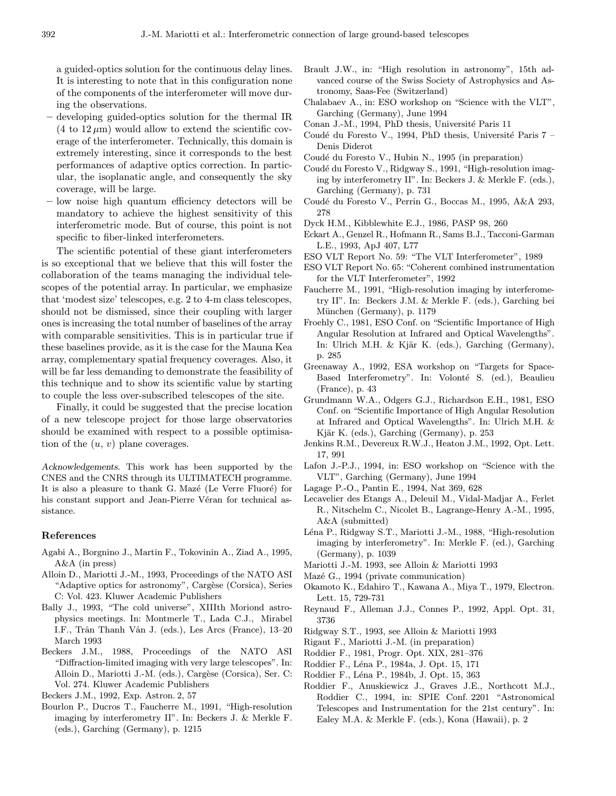a guided-optics solution for the continuous delay lines. It is interesting to note that in this configuration none of the components of the interferometer will move during the observations.

- developing guided-optics solution for the thermal IR  $(4 \text{ to } 12 \mu \text{m})$  would allow to extend the scientific coverage of the interferometer. Technically, this domain is extremely interesting, since it corresponds to the best performances of adaptive optics correction. In particular, the isoplanatic angle, and consequently the sky coverage, will be large.
- low noise high quantum efficiency detectors will be mandatory to achieve the highest sensitivity of this interferometric mode. But of course, this point is not specific to fiber-linked interferometers.

The scientific potential of these giant interferometers is so exceptional that we believe that this will foster the collaboration of the teams managing the individual telescopes of the potential array. In particular, we emphasize that 'modest size' telescopes, e.g. 2 to 4-m class telescopes, should not be dismissed, since their coupling with larger ones is increasing the total number of baselines of the array with comparable sensitivities. This is in particular true if these baselines provide, as it is the case for the Mauna Kea array, complementary spatial frequency coverages. Also, it will be far less demanding to demonstrate the feasibility of this technique and to show its scientific value by starting to couple the less over-subscribed telescopes of the site.

Finally, it could be suggested that the precise location of a new telescope project for those large observatories should be examined with respect to a possible optimisation of the  $(u, v)$  plane coverages.

Acknowledgements. This work has been supported by the CNES and the CNRS through its ULTIMATECH programme. It is also a pleasure to thank G. Mazé (Le Verre Fluoré) for his constant support and Jean-Pierre Véran for technical assistance.

#### References

- Agabi A., Borgnino J., Martin F., Tokovinin A., Ziad A., 1995, A&A (in press)
- Alloin D., Mariotti J.-M., 1993, Proceedings of the NATO ASI "Adaptive optics for astronomy", Cargèse (Corsica), Series C: Vol. 423. Kluwer Academic Publishers
- Bally J., 1993, "The cold universe", XIIIth Moriond astrophysics meetings. In: Montmerle T., Lada C.J., Mirabel I.F., Trân Thanh Vân J. (eds.), Les Arcs (France), 13-20 March 1993
- Beckers J.M., 1988, Proceedings of the NATO ASI "Diffraction-limited imaging with very large telescopes". In: Alloin D., Mariotti J.-M. (eds.), Cargèse (Corsica), Ser. C: Vol. 274. Kluwer Academic Publishers

Beckers J.M., 1992, Exp. Astron. 2, 57

Bourlon P., Ducros T., Faucherre M., 1991, "High-resolution imaging by interferometry II". In: Beckers J. & Merkle F. (eds.), Garching (Germany), p. 1215

- Brault J.W., in: "High resolution in astronomy", 15th advanced course of the Swiss Society of Astrophysics and Astronomy, Saas-Fee (Switzerland)
- Chalabaev A., in: ESO workshop on "Science with the VLT", Garching (Germany), June 1994
- Conan J.-M., 1994, PhD thesis, Université Paris 11
- Coudé du Foresto V., 1994, PhD thesis, Université Paris 7 Denis Diderot
- Coudé du Foresto V., Hubin N., 1995 (in preparation)
- Coudé du Foresto V., Ridgway S., 1991, "High-resolution imaging by interferometry II". In: Beckers J. & Merkle F. (eds.), Garching (Germany), p. 731
- Coudé du Foresto V., Perrin G., Boccas M., 1995, A&A 293, 278
- Dyck H.M., Kibblewhite E.J., 1986, PASP 98, 260
- Eckart A., Genzel R., Hofmann R., Sams B.J., Tacconi-Garman L.E., 1993, ApJ 407, L77
- ESO VLT Report No. 59: "The VLT Interferometer", 1989
- ESO VLT Report No. 65: "Coherent combined instrumentation for the VLT Interferometer", 1992
- Faucherre M., 1991, "High-resolution imaging by interferometry II". In: Beckers J.M. & Merkle F. (eds.), Garching bei München (Germany), p. 1179
- Froehly C., 1981, ESO Conf. on "Scientific Importance of High Angular Resolution at Infrared and Optical Wavelengths". In: Ulrich M.H. & Kjär K. (eds.), Garching (Germany), p. 285
- Greenaway A., 1992, ESA workshop on "Targets for Space-Based Interferometry". In: Volonté S. (ed.), Beaulieu (France), p. 43
- Grundmann W.A., Odgers G.J., Richardson E.H., 1981, ESO Conf. on "Scientific Importance of High Angular Resolution at Infrared and Optical Wavelengths". In: Ulrich M.H. & Kjär K. (eds.), Garching (Germany), p. 253
- Jenkins R.M., Devereux R.W.J., Heaton J.M., 1992, Opt. Lett. 17, 991
- Lafon J.-P.J., 1994, in: ESO workshop on "Science with the VLT", Garching (Germany), June 1994
- Lagage P.-O., Pantin E., 1994, Nat 369, 628
- Lecavelier des Etangs A., Deleuil M., Vidal-Madjar A., Ferlet R., Nitschelm C., Nicolet B., Lagrange-Henry A.-M., 1995, A&A (submitted)
- Léna P., Ridgway S.T., Mariotti J.-M., 1988, "High-resolution imaging by interferometry". In: Merkle F. (ed.), Garching (Germany), p. 1039
- Mariotti J.-M. 1993, see Alloin & Mariotti 1993
- Mazé G., 1994 (private communication)
- Okamoto K., Edahiro T., Kawana A., Miya T., 1979, Electron. Lett. 15, 729-731
- Reynaud F., Alleman J.J., Connes P., 1992, Appl. Opt. 31, 3736
- Ridgway S.T., 1993, see Alloin & Mariotti 1993
- Rigaut F., Mariotti J.-M. (in preparation)
- Roddier F., 1981, Progr. Opt. XIX, 281–376
- Roddier F., Léna P., 1984a, J. Opt. 15, 171
- Roddier F., Léna P., 1984b, J. Opt. 15, 363
- Roddier F., Anuskiewicz J., Graves J.E., Northcott M.J., Roddier C., 1994, in: SPIE Conf. 2201 "Astronomical Telescopes and Instrumentation for the 21st century". In: Ealey M.A. & Merkle F. (eds.), Kona (Hawaii), p. 2